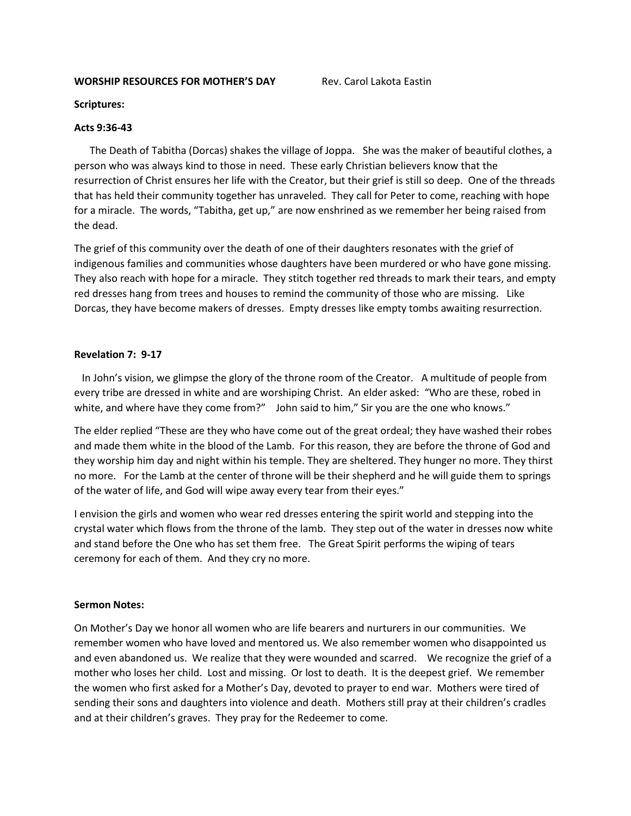## **WORSHIP RESOURCES FOR MOTHER'S DAY Rev. Carol Lakota Eastin**

### **Scriptures:**

## **Acts 9:36-43**

 The Death of Tabitha (Dorcas) shakes the village of Joppa. She was the maker of beautiful clothes, a person who was always kind to those in need. These early Christian believers know that the resurrection of Christ ensures her life with the Creator, but their grief is still so deep. One of the threads that has held their community together has unraveled. They call for Peter to come, reaching with hope for a miracle. The words, "Tabitha, get up," are now enshrined as we remember her being raised from the dead.

The grief of this community over the death of one of their daughters resonates with the grief of indigenous families and communities whose daughters have been murdered or who have gone missing. They also reach with hope for a miracle. They stitch together red threads to mark their tears, and empty red dresses hang from trees and houses to remind the community of those who are missing. Like Dorcas, they have become makers of dresses. Empty dresses like empty tombs awaiting resurrection.

## **Revelation 7: 9-17**

 In John's vision, we glimpse the glory of the throne room of the Creator. A multitude of people from every tribe are dressed in white and are worshiping Christ. An elder asked: "Who are these, robed in white, and where have they come from?" John said to him," Sir you are the one who knows."

The elder replied "These are they who have come out of the great ordeal; they have washed their robes and made them white in the blood of the Lamb. For this reason, they are before the throne of God and they worship him day and night within his temple. They are sheltered. They hunger no more. They thirst no more. For the Lamb at the center of throne will be their shepherd and he will guide them to springs of the water of life, and God will wipe away every tear from their eyes."

I envision the girls and women who wear red dresses entering the spirit world and stepping into the crystal water which flows from the throne of the lamb. They step out of the water in dresses now white and stand before the One who has set them free. The Great Spirit performs the wiping of tears ceremony for each of them. And they cry no more.

### **Sermon Notes:**

On Mother's Day we honor all women who are life bearers and nurturers in our communities. We remember women who have loved and mentored us. We also remember women who disappointed us and even abandoned us. We realize that they were wounded and scarred. We recognize the grief of a mother who loses her child. Lost and missing. Or lost to death. It is the deepest grief. We remember the women who first asked for a Mother's Day, devoted to prayer to end war. Mothers were tired of sending their sons and daughters into violence and death. Mothers still pray at their children's cradles and at their children's graves. They pray for the Redeemer to come.